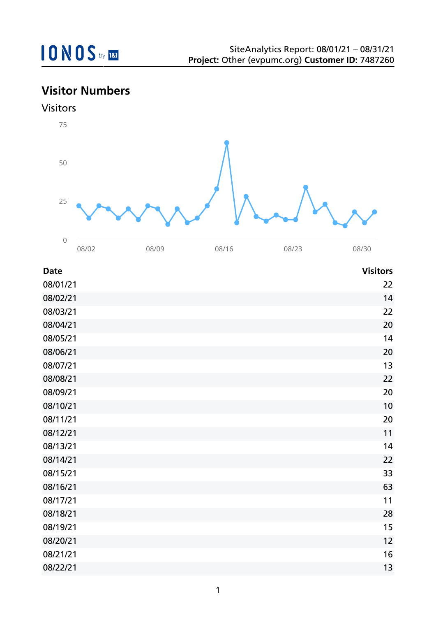## **Visitor Numbers**





08/02 08/09 08/16 08/23 08/30

| <b>Date</b> | <b>Visitors</b> |
|-------------|-----------------|
| 08/01/21    | 22              |
| 08/02/21    | 14              |
| 08/03/21    | 22              |
| 08/04/21    | 20              |
| 08/05/21    | 14              |
| 08/06/21    | 20              |
| 08/07/21    | 13              |
| 08/08/21    | 22              |
| 08/09/21    | 20              |
| 08/10/21    | 10              |
| 08/11/21    | 20              |
| 08/12/21    | 11              |
| 08/13/21    | 14              |
| 08/14/21    | 22              |
| 08/15/21    | 33              |
| 08/16/21    | 63              |
| 08/17/21    | 11              |
| 08/18/21    | 28              |
| 08/19/21    | 15              |
| 08/20/21    | 12              |
| 08/21/21    | 16              |
| 08/22/21    | 13              |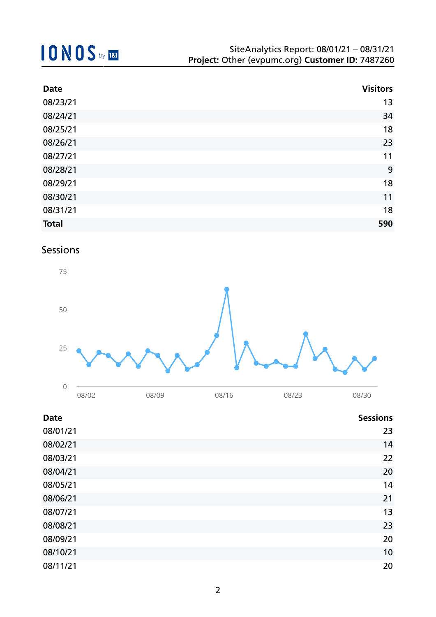# **10NOS** by REI

| <b>Date</b>  | <b>Visitors</b> |
|--------------|-----------------|
| 08/23/21     | 13              |
| 08/24/21     | 34              |
| 08/25/21     | 18              |
| 08/26/21     | 23              |
| 08/27/21     | 11              |
| 08/28/21     | 9               |
| 08/29/21     | 18              |
| 08/30/21     | 11              |
| 08/31/21     | 18              |
| <b>Total</b> | 590             |

### Sessions



| <b>Date</b> | <b>Sessions</b> |
|-------------|-----------------|
| 08/01/21    | 23              |
| 08/02/21    | 14              |
| 08/03/21    | 22              |
| 08/04/21    | 20              |
| 08/05/21    | 14              |
| 08/06/21    | 21              |
| 08/07/21    | 13              |
| 08/08/21    | 23              |
| 08/09/21    | 20              |
| 08/10/21    | 10              |
| 08/11/21    | 20              |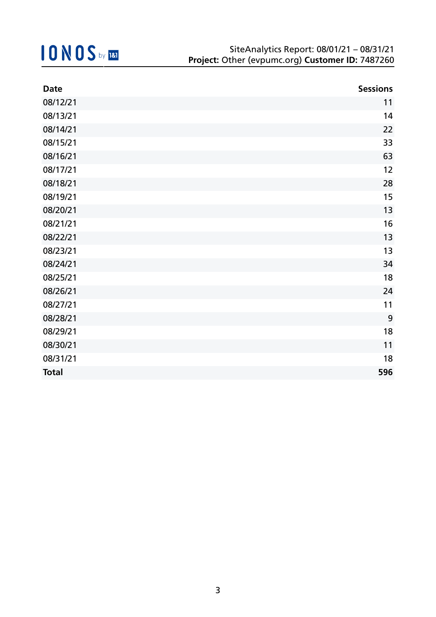| <b>Date</b>  | <b>Sessions</b> |
|--------------|-----------------|
| 08/12/21     | 11              |
| 08/13/21     | 14              |
| 08/14/21     | 22              |
| 08/15/21     | 33              |
| 08/16/21     | 63              |
| 08/17/21     | 12              |
| 08/18/21     | 28              |
| 08/19/21     | 15              |
| 08/20/21     | 13              |
| 08/21/21     | 16              |
| 08/22/21     | 13              |
| 08/23/21     | 13              |
| 08/24/21     | 34              |
| 08/25/21     | 18              |
| 08/26/21     | 24              |
| 08/27/21     | 11              |
| 08/28/21     | 9               |
| 08/29/21     | 18              |
| 08/30/21     | 11              |
| 08/31/21     | 18              |
| <b>Total</b> | 596             |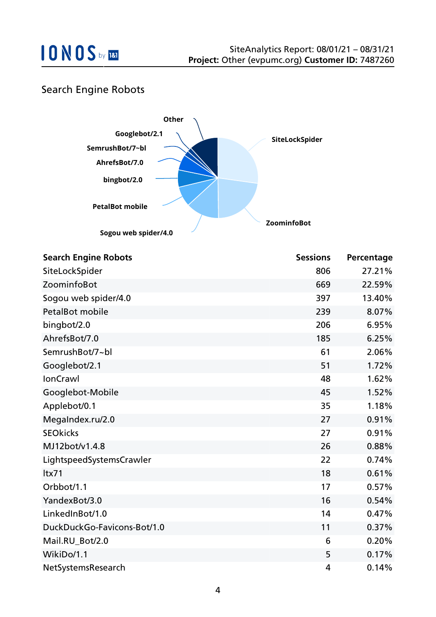### Search Engine Robots



| <b>Search Engine Robots</b> | <b>Sessions</b> | Percentage |
|-----------------------------|-----------------|------------|
| SiteLockSpider              | 806             | 27.21%     |
| ZoominfoBot                 | 669             | 22.59%     |
| Sogou web spider/4.0        | 397             | 13.40%     |
| <b>PetalBot mobile</b>      | 239             | 8.07%      |
| bingbot/2.0                 | 206             | 6.95%      |
| AhrefsBot/7.0               | 185             | 6.25%      |
| SemrushBot/7~bl             | 61              | 2.06%      |
| Googlebot/2.1               | 51              | 1.72%      |
| <b>IonCrawl</b>             | 48              | 1.62%      |
| Googlebot-Mobile            | 45              | 1.52%      |
| Applebot/0.1                | 35              | 1.18%      |
| MegaIndex.ru/2.0            | 27              | 0.91%      |
| <b>SEOkicks</b>             | 27              | 0.91%      |
| MJ12bot/v1.4.8              | 26              | 0.88%      |
| LightspeedSystemsCrawler    | 22              | 0.74%      |
| ltx71                       | 18              | 0.61%      |
| Orbbot/1.1                  | 17              | 0.57%      |
| YandexBot/3.0               | 16              | 0.54%      |
| LinkedInBot/1.0             | 14              | 0.47%      |
| DuckDuckGo-Favicons-Bot/1.0 | 11              | 0.37%      |
| Mail.RU_Bot/2.0             | 6               | 0.20%      |
| WikiDo/1.1                  | 5               | 0.17%      |
| NetSystemsResearch          | 4               | 0.14%      |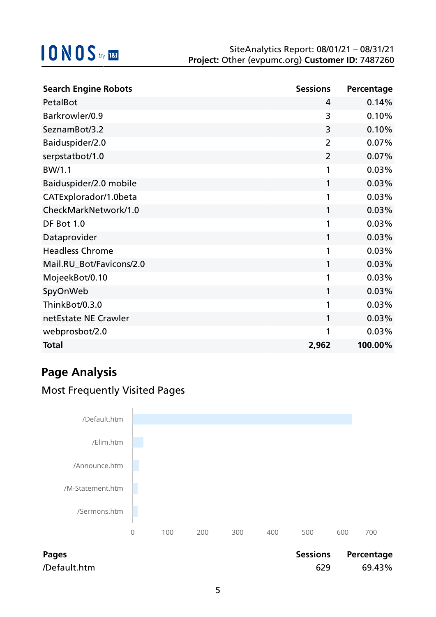| <b>Search Engine Robots</b> | <b>Sessions</b> | Percentage |
|-----------------------------|-----------------|------------|
| PetalBot                    | 4               | 0.14%      |
| Barkrowler/0.9              | 3               | 0.10%      |
| SeznamBot/3.2               | 3               | 0.10%      |
| Baiduspider/2.0             | $\overline{2}$  | 0.07%      |
| serpstatbot/1.0             | $\overline{2}$  | 0.07%      |
| BW/1.1                      | 1               | 0.03%      |
| Baiduspider/2.0 mobile      | 1               | 0.03%      |
| CATExplorador/1.0beta       | 1               | 0.03%      |
| CheckMarkNetwork/1.0        | 1               | 0.03%      |
| DF Bot 1.0                  | 1               | 0.03%      |
| Dataprovider                | 1               | 0.03%      |
| <b>Headless Chrome</b>      | 1               | 0.03%      |
| Mail.RU_Bot/Favicons/2.0    | 1               | 0.03%      |
| MojeekBot/0.10              | 1               | 0.03%      |
| SpyOnWeb                    | 1               | 0.03%      |
| ThinkBot/0.3.0              | 1               | 0.03%      |
| netEstate NE Crawler        | 1               | 0.03%      |
| webprosbot/2.0              | 1               | 0.03%      |
| <b>Total</b>                | 2,962           | 100.00%    |

## **Page Analysis**

### Most Frequently Visited Pages



| <b>Pages</b> |
|--------------|
| /Default.htm |

| Pages        |     | Sessions Percentage |
|--------------|-----|---------------------|
| /Default.htm | 629 | 69.43%              |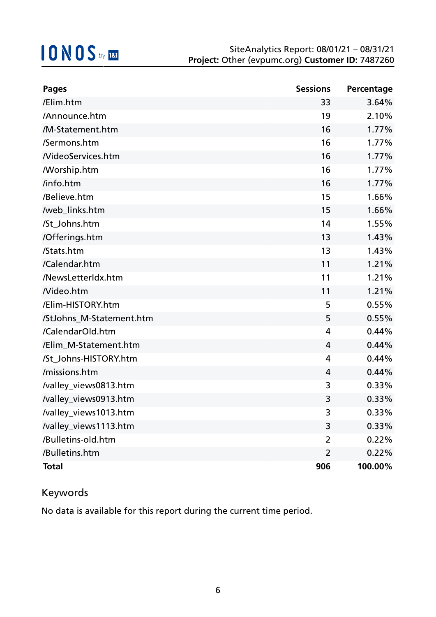| <b>Pages</b>               | <b>Sessions</b> | Percentage |
|----------------------------|-----------------|------------|
| /Elim.htm                  | 33              | 3.64%      |
| /Announce.htm              | 19              | 2.10%      |
| /M-Statement.htm           | 16              | 1.77%      |
| /Sermons.htm               | 16              | 1.77%      |
| /VideoServices.htm         | 16              | 1.77%      |
| <b><i>N</i></b> orship.htm | 16              | 1.77%      |
| /info.htm                  | 16              | 1.77%      |
| /Believe.htm               | 15              | 1.66%      |
| /web_links.htm             | 15              | 1.66%      |
| /St_Johns.htm              | 14              | 1.55%      |
| /Offerings.htm             | 13              | 1.43%      |
| /Stats.htm                 | 13              | 1.43%      |
| /Calendar.htm              | 11              | 1.21%      |
| /NewsLetterIdx.htm         | 11              | 1.21%      |
| Nideo.htm                  | 11              | 1.21%      |
| /Elim-HISTORY.htm          | 5               | 0.55%      |
| /StJohns_M-Statement.htm   | 5               | 0.55%      |
| /CalendarOld.htm           | 4               | 0.44%      |
| /Elim_M-Statement.htm      | 4               | 0.44%      |
| /St_Johns-HISTORY.htm      | 4               | 0.44%      |
| /missions.htm              | 4               | 0.44%      |
| /valley_views0813.htm      | 3               | 0.33%      |
| /valley_views0913.htm      | 3               | 0.33%      |
| /valley_views1013.htm      | 3               | 0.33%      |
| /valley_views1113.htm      | 3               | 0.33%      |
| /Bulletins-old.htm         | 2               | 0.22%      |
| /Bulletins.htm             | $\overline{2}$  | 0.22%      |
| <b>Total</b>               | 906             | 100.00%    |

### Keywords

No data is available for this report during the current time period.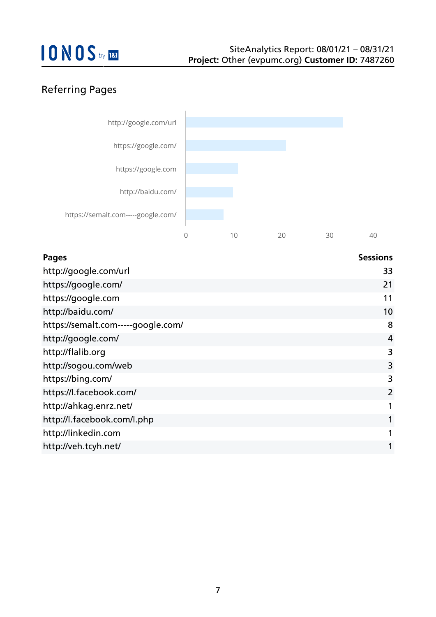### Referring Pages



| <b>Pages</b>                       | <b>Sessions</b> |
|------------------------------------|-----------------|
| http://google.com/url              | 33              |
| https://google.com/                | 21              |
| https://google.com                 | 11              |
| http://baidu.com/                  | 10              |
| https://semalt.com-----google.com/ | 8               |
| http://google.com/                 | $\overline{4}$  |
| http://flalib.org                  | 3               |
| http://sogou.com/web               | 3               |
| https://bing.com/                  | 3               |
| https://l.facebook.com/            | $\overline{2}$  |
| http://ahkag.enrz.net/             | 1               |
| http://l.facebook.com/l.php        | $\mathbf{1}$    |
| http://linkedin.com                | $\mathbf{1}$    |
| http://veh.tcyh.net/               | 1               |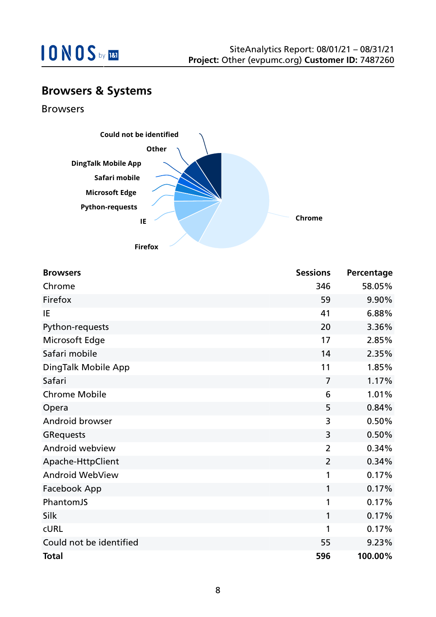

### **Browsers & Systems**

Browsers



| <b>Browsers</b>         | <b>Sessions</b> | Percentage |
|-------------------------|-----------------|------------|
| Chrome                  | 346             | 58.05%     |
| Firefox                 | 59              | 9.90%      |
| IE                      | 41              | 6.88%      |
| Python-requests         | 20              | 3.36%      |
| Microsoft Edge          | 17              | 2.85%      |
| Safari mobile           | 14              | 2.35%      |
| DingTalk Mobile App     | 11              | 1.85%      |
| Safari                  | $\overline{7}$  | 1.17%      |
| <b>Chrome Mobile</b>    | 6               | 1.01%      |
| Opera                   | 5               | 0.84%      |
| Android browser         | 3               | 0.50%      |
| <b>GRequests</b>        | 3               | 0.50%      |
| Android webview         | $\overline{2}$  | 0.34%      |
| Apache-HttpClient       | $\overline{2}$  | 0.34%      |
| <b>Android WebView</b>  | 1               | 0.17%      |
| Facebook App            | 1               | 0.17%      |
| PhantomJS               | 1               | 0.17%      |
| Silk                    | $\mathbf{1}$    | 0.17%      |
| <b>CURL</b>             | 1               | 0.17%      |
| Could not be identified | 55              | 9.23%      |
| <b>Total</b>            | 596             | 100.00%    |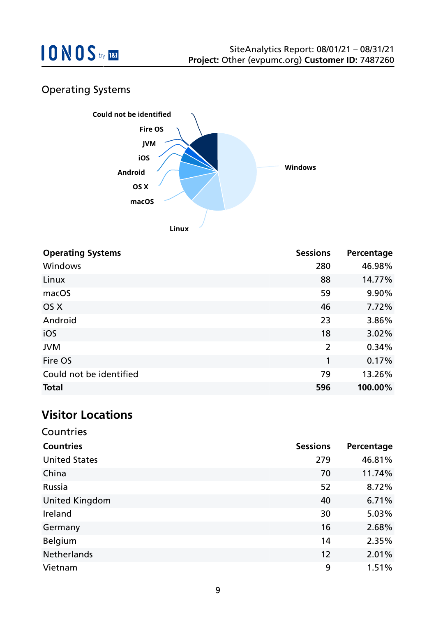

### Operating Systems



| <b>Operating Systems</b> | <b>Sessions</b> | Percentage |
|--------------------------|-----------------|------------|
| <b>Windows</b>           | 280             | 46.98%     |
| Linux                    | 88              | 14.77%     |
| macOS                    | 59              | 9.90%      |
| OS X                     | 46              | 7.72%      |
| Android                  | 23              | 3.86%      |
| iOS                      | 18              | 3.02%      |
| <b>JVM</b>               | 2               | 0.34%      |
| Fire OS                  | 1               | 0.17%      |
| Could not be identified  | 79              | 13.26%     |
| <b>Total</b>             | 596             | 100.00%    |

### **Visitor Locations**

| Countries             |                 |            |
|-----------------------|-----------------|------------|
| <b>Countries</b>      | <b>Sessions</b> | Percentage |
| <b>United States</b>  | 279             | 46.81%     |
| China                 | 70              | 11.74%     |
| Russia                | 52              | 8.72%      |
| <b>United Kingdom</b> | 40              | 6.71%      |
| Ireland               | 30              | 5.03%      |
| Germany               | 16              | 2.68%      |
| <b>Belgium</b>        | 14              | 2.35%      |
| <b>Netherlands</b>    | 12              | 2.01%      |
| Vietnam               | 9               | 1.51%      |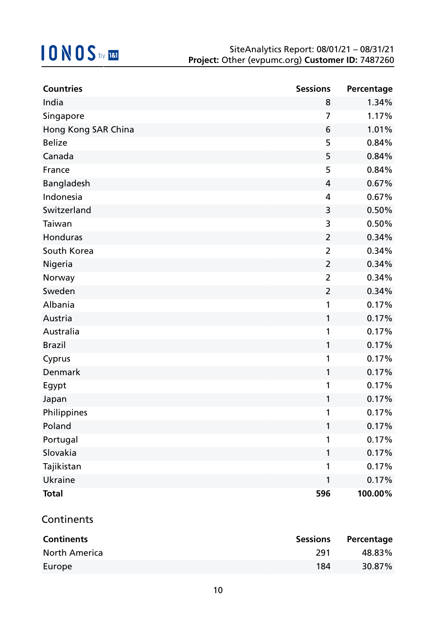| <b>Countries</b>    | <b>Sessions</b> | Percentage |
|---------------------|-----------------|------------|
| India               | 8               | 1.34%      |
| Singapore           | $\overline{7}$  | 1.17%      |
| Hong Kong SAR China | 6               | 1.01%      |
| <b>Belize</b>       | 5               | 0.84%      |
| Canada              | 5               | 0.84%      |
| France              | 5               | 0.84%      |
| Bangladesh          | 4               | 0.67%      |
| Indonesia           | 4               | 0.67%      |
| Switzerland         | 3               | 0.50%      |
| Taiwan              | 3               | 0.50%      |
| Honduras            | $\overline{2}$  | 0.34%      |
| South Korea         | $\overline{2}$  | 0.34%      |
| Nigeria             | $\overline{2}$  | 0.34%      |
| Norway              | $\overline{2}$  | 0.34%      |
| Sweden              | $\overline{2}$  | 0.34%      |
| Albania             | 1               | 0.17%      |
| Austria             | 1               | 0.17%      |
| Australia           | 1               | 0.17%      |
| <b>Brazil</b>       | 1               | 0.17%      |
| Cyprus              | 1               | 0.17%      |
| Denmark             | 1               | 0.17%      |
| Egypt               | 1               | 0.17%      |
| Japan               | 1               | 0.17%      |
| <b>Philippines</b>  |                 | 0.17%      |
| Poland              | 1               | 0.17%      |
| Portugal            | 1               | 0.17%      |
| Slovakia            | 1               | 0.17%      |
| Tajikistan          | 1               | 0.17%      |
| Ukraine             | 1               | 0.17%      |
| <b>Total</b>        | 596             | 100.00%    |

### **Continents**

| <b>Continents</b>    | <b>Sessions</b> | Percentage |
|----------------------|-----------------|------------|
| <b>North America</b> | -291            | 48.83%     |
| Europe               | 184             | $30.87\%$  |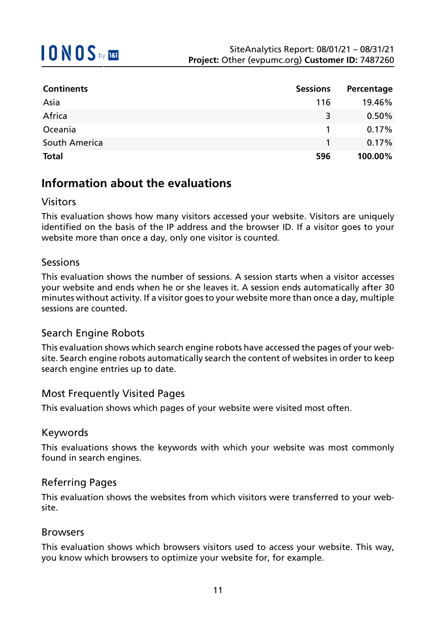| <b>Continents</b> | <b>Sessions</b> | Percentage |
|-------------------|-----------------|------------|
| Asia              | 116             | 19.46%     |
| Africa            | 3               | 0.50%      |
| Oceania           |                 | 0.17%      |
| South America     |                 | 0.17%      |
| <b>Total</b>      | 596             | 100.00%    |

### **Information about the evaluations**

### Visitors

This evaluation shows how many visitors accessed your website. Visitors are uniquely identified on the basis of the IP address and the browser ID. If a visitor goes to your website more than once a day, only one visitor is counted.

### Sessions

This evaluation shows the number of sessions. A session starts when a visitor accesses your website and ends when he or she leaves it. A session ends automatically after 30 minutes without activity. If a visitor goes to your website more than once a day, multiple sessions are counted.

#### Search Engine Robots

This evaluation shows which search engine robots have accessed the pages of your website. Search engine robots automatically search the content of websites in order to keep search engine entries up to date.

#### Most Frequently Visited Pages

This evaluation shows which pages of your website were visited most often.

#### Keywords

This evaluations shows the keywords with which your website was most commonly found in search engines.

#### Referring Pages

This evaluation shows the websites from which visitors were transferred to your website.

#### Browsers

This evaluation shows which browsers visitors used to access your website. This way, you know which browsers to optimize your website for, for example.